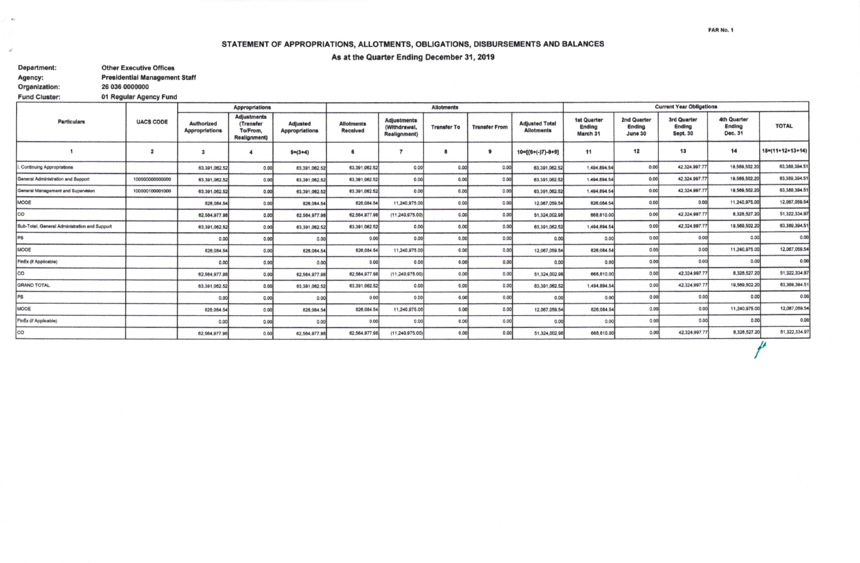## STATEMENT OF APPROPRIATIONS, ALLOTMENTS, OBLIGATIONS, DISBURSEMENTS AND BALANCES

As at the Quarter Ending December 31, 2019

| Department:          | <b>Other Executive Offices</b>       |
|----------------------|--------------------------------------|
| Agency:              | <b>Presidential Management Staff</b> |
| Organization:        | 26 036 0000000                       |
| <b>Fund Cluster:</b> | 01 Regular Agency Fund               |

 $\mu$ 

Ō.

|                                               | <b>UACS CODE</b>        | <b>Appropriations</b>                      |                                                                    |                                          |                                      | <b>Allotments</b>                                          |                    |                      | <b>Current Year Obligations</b>            |                                                 |                                         |                                          |                                                |                    |
|-----------------------------------------------|-------------------------|--------------------------------------------|--------------------------------------------------------------------|------------------------------------------|--------------------------------------|------------------------------------------------------------|--------------------|----------------------|--------------------------------------------|-------------------------------------------------|-----------------------------------------|------------------------------------------|------------------------------------------------|--------------------|
| <b>Particulars</b>                            |                         | <b>Authorized</b><br><b>Appropriations</b> | <b>Adjustments</b><br>(Transfer<br>To/From<br><b>Realignment</b> ) | <b>Adjusted</b><br><b>Appropriations</b> | <b>Allotments</b><br><b>Received</b> | <b>Adjustments</b><br>(Withdrawal,<br><b>Realignment</b> ) | <b>Transfer To</b> | <b>Transfer From</b> | <b>Adjusted Total</b><br><b>Allotments</b> | <b>1st Quarter</b><br><b>Ending</b><br>March 31 | 2nd Quarter<br><b>Ending</b><br>June 30 | 3rd Quarter<br>Ending<br><b>Sept. 30</b> | <b>4th Quarter</b><br>Ending<br><b>Dec. 31</b> | <b>TOTAL</b>       |
|                                               | $\overline{\mathbf{2}}$ |                                            |                                                                    | $5=(3+4)$                                |                                      |                                                            |                    | 9                    | $10=[(6+(-)7)-8+9]$                        | 11                                              | 12                                      | 13                                       | 14                                             | $15=(11+12+13+14)$ |
| . Continuing Appropriations                   |                         | 63,391,062.52                              | 0.00                                                               | 63,391,062.52                            | 63,391,062.52                        | 0.00                                                       | 0.00               | 0.00                 | 63,391,062.52                              | 1,494,894.54                                    | 0.00                                    | 42,324,997.77                            | 19,569,502.20                                  | 63,389,394.51      |
| General Administration and Support            | 100000000000000         | 63,391,062.52                              | 0.00                                                               | 63,391,062.52                            | 63,391,062.52                        | 0.00                                                       | 0.00               | 0.00                 | 63,391,062.52                              | 1,494,894.54                                    | 0.00                                    | 42,324,997.77                            | 19,569,502.20                                  | 63,389,394.51      |
| General Management and Supervision            | 100000100001000         | 63,391,062.52                              | 0.00                                                               | 63,391,062.52                            | 63,391,062.52                        | 0.00                                                       | 0.00               | 0.00                 | 63,391,062.52                              | 1,494,894.54                                    | 0.00                                    | 42,324,997.77                            | 19,569,502.20                                  | 63,389,394.51      |
| <b>MOOE</b>                                   |                         | 826,084.54                                 | 0.00                                                               | 826,084.54                               | 826,084.54                           | 11,240,975.00                                              | 0.00               | 0.00                 | 12,067,059.54                              | 826,084.54                                      | 0.00                                    | 0.00                                     | 11,240,975.00                                  | 12,067,059.54      |
| CO                                            |                         | 62.564.977.98                              | 0.00                                                               | 62,564,977.98                            | 62,564,977.98                        | (11, 240, 975.00)                                          | 0.00               | 0.00                 | 51,324,002.98                              | 668,810.00                                      | 0.00                                    | 42,324,997.7                             | 8,328,527.20                                   | 51,322,334.97      |
| Sub-Total, General Administration and Support |                         | 63,391,062.52                              | 0.00                                                               | 63,391,062.52                            | 63,391,062.52                        | 0.00                                                       | 0.00               | 0.00                 | 63,391,062.52                              | 1,494,894.54                                    | 0.00                                    | 42,324,997.7                             | 19,569,502.20                                  | 63,389,394.51      |
| PS                                            |                         | 0.00                                       | 0.00                                                               | 0.00                                     | 0.00                                 | 0.00                                                       | 0.00               | 0.00                 | 0.00                                       | 0.00                                            | 0.00                                    | 0.00                                     | 0.00                                           | 0.00               |
| MOOE                                          |                         | 826,084.54                                 | 0.00                                                               | 826,084.54                               | 826,084.54                           | 11,240,975.00                                              | 0.00               | 0.00                 | 12,067,059.54                              | 826,084.54                                      | 0.00                                    | 0.00                                     | 11,240,975.00                                  | 12,067,059.54      |
| FinEx (if Applicable)                         |                         | 0.00                                       | 0.00                                                               | 0.00                                     | 0.00                                 | 0.00                                                       | 0.00               | 0.00                 | 0.00                                       | 0.00                                            | 0.00                                    | 0.00                                     | 0.00                                           | 0.00               |
| co                                            |                         | 62,564,977.98                              | 0.00                                                               | 62,564,977.98                            | 62,564,977.98                        | (11, 240, 975.00)                                          | 0.00               | 0.00                 | 51,324,002.98                              | 668,810.00                                      | 0.00                                    | 42,324,997.7                             | 8,328,527.20                                   | 51,322,334.97      |
| <b>GRAND TOTAL</b>                            |                         | 63,391,062.52                              | 0.00                                                               | 63,391,062.52                            | 63,391,062.52                        | 0.00                                                       | 0.00               | 0.00                 | 63,391,062.52                              | 1,494,894.54                                    | 0.00                                    | 42,324,997.7                             | 19,569,502.20                                  | 63,389,394.51      |
| PS                                            |                         | 0.00                                       | 0.00                                                               | 0.00                                     | 0.00                                 | 0.00                                                       | 0.00               | 0.00                 | 0.00                                       | 0.00                                            | 0.00                                    | 0.00                                     | 0.00                                           | 0.00               |
| <b>MOOE</b>                                   |                         | 826,084.54                                 | 0.00                                                               | 826,084.54                               | 826,084.54                           | 11,240,975.00                                              | 0.00               | 0.00                 | 12,067,059.54                              | 826,084.54                                      | 0.00                                    | 0.00                                     | 11,240,975.00                                  | 12,067,059.54      |
| FinEx (if Applicable)                         |                         | 0.00                                       | 0.00                                                               | 0.00                                     | 0.00                                 | 0.00                                                       | 0.00               | 0.00                 | 0.00                                       | 0.00                                            | 0.00                                    | 0.00                                     | 0.00                                           | 0.00               |
| CO                                            |                         | 62,564,977.98                              | 0.00                                                               | 62,564,977.98                            | 62,564,977.98                        | (11, 240, 975, 00)                                         | 0.00               | 0.00                 | 51,324,002.98                              | 668,810.00                                      | 0.00                                    | 42,324,997.77                            | 8,328,527.20                                   | 51,322,334.97      |
|                                               |                         |                                            |                                                                    |                                          |                                      |                                                            |                    |                      |                                            |                                                 |                                         |                                          |                                                |                    |